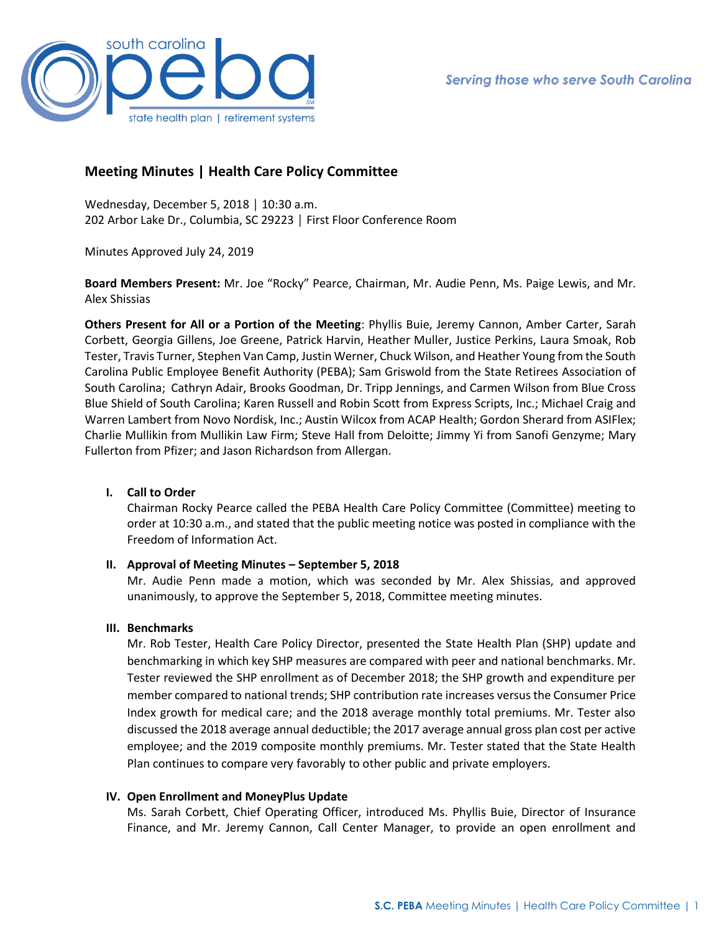

# **Meeting Minutes | Health Care Policy Committee**

Wednesday, December 5, 2018 │ 10:30 a.m. 202 Arbor Lake Dr., Columbia, SC 29223 │ First Floor Conference Room

Minutes Approved July 24, 2019

**Board Members Present:** Mr. Joe "Rocky" Pearce, Chairman, Mr. Audie Penn, Ms. Paige Lewis, and Mr. Alex Shissias

**Others Present for All or a Portion of the Meeting**: Phyllis Buie, Jeremy Cannon, Amber Carter, Sarah Corbett, Georgia Gillens, Joe Greene, Patrick Harvin, Heather Muller, Justice Perkins, Laura Smoak, Rob Tester, Travis Turner, Stephen Van Camp, Justin Werner, Chuck Wilson, and Heather Young from the South Carolina Public Employee Benefit Authority (PEBA); Sam Griswold from the State Retirees Association of South Carolina; Cathryn Adair, Brooks Goodman, Dr. Tripp Jennings, and Carmen Wilson from Blue Cross Blue Shield of South Carolina; Karen Russell and Robin Scott from Express Scripts, Inc.; Michael Craig and Warren Lambert from Novo Nordisk, Inc.; Austin Wilcox from ACAP Health; Gordon Sherard from ASIFlex; Charlie Mullikin from Mullikin Law Firm; Steve Hall from Deloitte; Jimmy Yi from Sanofi Genzyme; Mary Fullerton from Pfizer; and Jason Richardson from Allergan.

## **I. Call to Order**

Chairman Rocky Pearce called the PEBA Health Care Policy Committee (Committee) meeting to order at 10:30 a.m., and stated that the public meeting notice was posted in compliance with the Freedom of Information Act.

## **II. Approval of Meeting Minutes – September 5, 2018**

Mr. Audie Penn made a motion, which was seconded by Mr. Alex Shissias, and approved unanimously, to approve the September 5, 2018, Committee meeting minutes.

## **III. Benchmarks**

Mr. Rob Tester, Health Care Policy Director, presented the State Health Plan (SHP) update and benchmarking in which key SHP measures are compared with peer and national benchmarks. Mr. Tester reviewed the SHP enrollment as of December 2018; the SHP growth and expenditure per member compared to national trends; SHP contribution rate increases versus the Consumer Price Index growth for medical care; and the 2018 average monthly total premiums. Mr. Tester also discussed the 2018 average annual deductible; the 2017 average annual gross plan cost per active employee; and the 2019 composite monthly premiums. Mr. Tester stated that the State Health Plan continues to compare very favorably to other public and private employers.

## **IV. Open Enrollment and MoneyPlus Update**

Ms. Sarah Corbett, Chief Operating Officer, introduced Ms. Phyllis Buie, Director of Insurance Finance, and Mr. Jeremy Cannon, Call Center Manager, to provide an open enrollment and